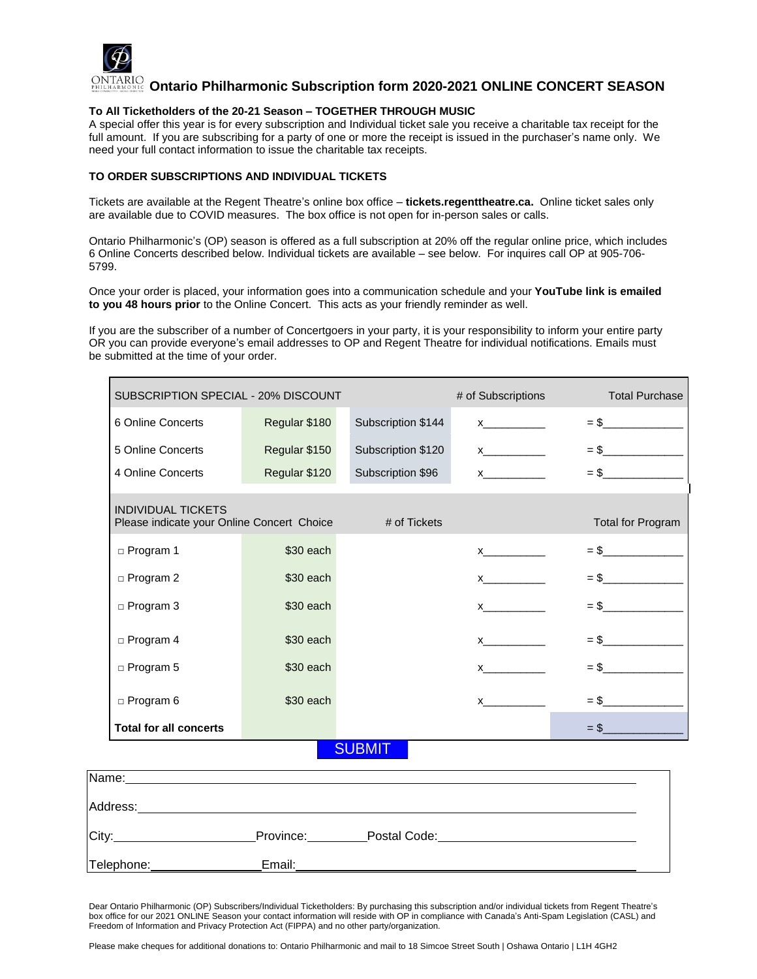

**Ontario Philharmonic Subscription form 2020-2021 ONLINE CONCERT SEASON**

#### **To All Ticketholders of the 20-21 Season – TOGETHER THROUGH MUSIC**

A special offer this year is for every subscription and Individual ticket sale you receive a charitable tax receipt for the full amount. If you are subscribing for a party of one or more the receipt is issued in the purchaser's name only. We need your full contact information to issue the charitable tax receipts.

#### **TO ORDER SUBSCRIPTIONS AND INDIVIDUAL TICKETS**

Tickets are available at the Regent Theatre's online box office – **tickets.regenttheatre.ca.** Online ticket sales only are available due to COVID measures. The box office is not open for in-person sales or calls.

Ontario Philharmonic's (OP) season is offered as a full subscription at 20% off the regular online price, which includes 6 Online Concerts described below. Individual tickets are available – see below. For inquires call OP at 905-706- 5799.

Once your order is placed, your information goes into a communication schedule and your **YouTube link is emailed to you 48 hours prior** to the Online Concert. This acts as your friendly reminder as well.

If you are the subscriber of a number of Concertgoers in your party, it is your responsibility to inform your entire party OR you can provide everyone's email addresses to OP and Regent Theatre for individual notifications. Emails must be submitted at the time of your order.

| SUBSCRIPTION SPECIAL - 20% DISCOUNT                                     |               |                          | # of Subscriptions                                                                                                                                                                                                                                                                                                                                                                      | <b>Total Purchase</b> |
|-------------------------------------------------------------------------|---------------|--------------------------|-----------------------------------------------------------------------------------------------------------------------------------------------------------------------------------------------------------------------------------------------------------------------------------------------------------------------------------------------------------------------------------------|-----------------------|
| 6 Online Concerts                                                       | Regular \$180 | Subscription \$144       | $\boldsymbol{X}$ and $\boldsymbol{X}$ and $\boldsymbol{X}$ and $\boldsymbol{X}$ and $\boldsymbol{X}$ and $\boldsymbol{X}$ and $\boldsymbol{X}$ and $\boldsymbol{X}$ and $\boldsymbol{X}$ and $\boldsymbol{X}$ and $\boldsymbol{X}$ and $\boldsymbol{X}$ and $\boldsymbol{X}$ and $\boldsymbol{X}$ and $\boldsymbol{X}$ and $\boldsymbol{X}$ and $\boldsymbol{X}$ and                    | $=$ \$                |
| 5 Online Concerts                                                       | Regular \$150 | Subscription \$120       | $\boldsymbol{X}$ and $\boldsymbol{X}$ and $\boldsymbol{X}$ and $\boldsymbol{X}$ and $\boldsymbol{X}$ and $\boldsymbol{X}$ and $\boldsymbol{X}$ and $\boldsymbol{X}$ and $\boldsymbol{X}$ and $\boldsymbol{X}$ and $\boldsymbol{X}$ and $\boldsymbol{X}$ and $\boldsymbol{X}$ and $\boldsymbol{X}$ and $\boldsymbol{X}$ and $\boldsymbol{X}$ and $\boldsymbol{X}$ and                    | $=$ \$                |
| 4 Online Concerts                                                       | Regular \$120 | Subscription \$96        | $\mathsf X$ and $\mathsf X$ and $\mathsf X$ and $\mathsf X$                                                                                                                                                                                                                                                                                                                             | $=$ \$                |
| <b>INDIVIDUAL TICKETS</b><br>Please indicate your Online Concert Choice |               | <b>Total for Program</b> |                                                                                                                                                                                                                                                                                                                                                                                         |                       |
| $\square$ Program 1                                                     | \$30 each     |                          | $\mathsf{x}$ and $\mathsf{y}$ and $\mathsf{y}$ and $\mathsf{y}$ and $\mathsf{y}$ and $\mathsf{y}$ and $\mathsf{y}$ and $\mathsf{y}$ and $\mathsf{y}$ and $\mathsf{y}$ and $\mathsf{y}$ and $\mathsf{y}$ and $\mathsf{y}$ and $\mathsf{y}$ and $\mathsf{y}$ and $\mathsf{y}$ and $\mathsf{y}$ and                                                                                        | $=$ \$                |
| $\square$ Program 2                                                     | $$30$ each    |                          | $\mathsf{X}$                                                                                                                                                                                                                                                                                                                                                                            | $=$ \$                |
| $\Box$ Program 3                                                        | \$30 each     |                          | $\boldsymbol{\mathsf{X}}$ and $\boldsymbol{\mathsf{X}}$ and $\boldsymbol{\mathsf{X}}$ are the set of $\boldsymbol{\mathsf{X}}$ and $\boldsymbol{\mathsf{X}}$ are the set of $\boldsymbol{\mathsf{X}}$ and $\boldsymbol{\mathsf{X}}$ are the set of $\boldsymbol{\mathsf{X}}$ and $\boldsymbol{\mathsf{X}}$ are the set of $\boldsymbol{\mathsf{X}}$ and $\boldsymbol{\mathsf{X}}$ are t | $=$ \$                |
| $\Box$ Program 4                                                        | \$30 each     |                          | $\mathbf x$                                                                                                                                                                                                                                                                                                                                                                             | $=$ \$                |
| $\Box$ Program 5                                                        | \$30 each     |                          | $\mathsf{x}$ and $\mathsf{y}$ and $\mathsf{y}$ and $\mathsf{y}$ and $\mathsf{y}$ and $\mathsf{y}$ and $\mathsf{y}$ and $\mathsf{y}$ and $\mathsf{y}$ and $\mathsf{y}$ and $\mathsf{y}$ and $\mathsf{y}$ and $\mathsf{y}$ and $\mathsf{y}$ and $\mathsf{y}$ and $\mathsf{y}$ and $\mathsf{y}$ and                                                                                        | $=$ \$                |
| $\Box$ Program 6                                                        | \$30 each     |                          | $\boldsymbol{\mathsf{X}}$                                                                                                                                                                                                                                                                                                                                                               | $=$ \$                |
| <b>Total for all concerts</b>                                           |               |                          |                                                                                                                                                                                                                                                                                                                                                                                         | $=$ \$                |
|                                                                         |               | <b>SUBMI</b>             |                                                                                                                                                                                                                                                                                                                                                                                         |                       |

| Name:      |           |              |  |  |
|------------|-----------|--------------|--|--|
| Address:   |           |              |  |  |
| City:      | Province: | Postal Code: |  |  |
| Telephone: | Email:    |              |  |  |

Dear Ontario Philharmonic (OP) Subscribers/Individual Ticketholders: By purchasing this subscription and/or individual tickets from Regent Theatre's box office for our 2021 ONLINE Season your contact information will reside with OP in compliance with Canada's Anti-Spam Legislation (CASL) and Freedom of Information and Privacy Protection Act (FIPPA) and no other party/organization.

Please make cheques for additional donations to: Ontario Philharmonic and mail to 18 Simcoe Street South | Oshawa Ontario | L1H 4GH2